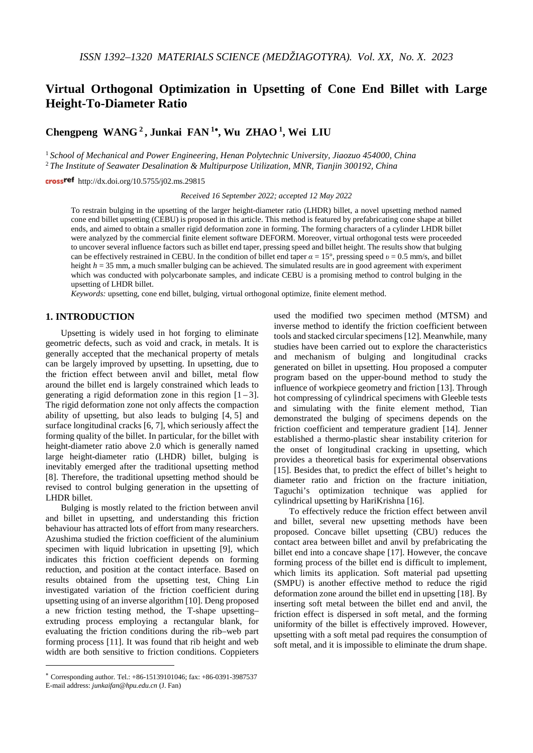# **Virtual Orthogonal Optimization in Upsetting of Cone End Billet with Large Height-To-Diameter Ratio**

**Chengpeng WANG <sup>2</sup> , Junkai FAN <sup>1</sup>**<sup>∗</sup>**, Wu ZHAO 1, Wei LIU**

<sup>1</sup> *School of Mechanical and Power Engineering, Henan Polytechnic University, Jiaozuo 454000, China* <sup>2</sup> *The Institute of Seawater Desalination & Multipurpose Utilization, MNR, Tianjin 300192, China*

crossref http://dx.doi.org/10.5755/j02.ms.29815

*Received 16 September 2022; accepted 12 May 2022*

To restrain bulging in the upsetting of the larger height-diameter ratio (LHDR) billet, a novel upsetting method named cone end billet upsetting (CEBU) is proposed in this article. This method is featured by prefabricating cone shape at billet ends, and aimed to obtain a smaller rigid deformation zone in forming. The forming characters of a cylinder LHDR billet were analyzed by the commercial finite element software DEFORM. Moreover, virtual orthogonal tests were proceeded to uncover several influence factors such as billet end taper, pressing speed and billet height. The results show that bulging can be effectively restrained in CEBU. In the condition of billet end taper *α* = 15°, pressing speed *υ* = 0.5 mm/s, and billet height  $h = 35$  mm, a much smaller bulging can be achieved. The simulated results are in good agreement with experiment which was conducted with polycarbonate samples, and indicate CEBU is a promising method to control bulging in the upsetting of LHDR billet.

*Keywords:* upsetting, cone end billet, bulging, virtual orthogonal optimize, finite element method.

# **1. INTRODUCTION**

Upsetting is widely used in hot forging to eliminate geometric defects, such as void and crack, in metals. It is generally accepted that the mechanical property of metals can be largely improved by upsetting. In upsetting, due to the friction effect between anvil and billet, metal flow around the billet end is largely constrained which leads to generating a rigid deformation zone in this region  $[1 - 3]$ . The rigid deformation zone not only affects the compaction ability of upsetting, but also leads to bulging [4, 5] and surface longitudinal cracks [6, 7], which seriously affect the forming quality of the billet. In particular, for the billet with height-diameter ratio above 2.0 which is generally named large height-diameter ratio (LHDR) billet, bulging is inevitably emerged after the traditional upsetting method [8]. Therefore, the traditional upsetting method should be revised to control bulging generation in the upsetting of LHDR billet.

Bulging is mostly related to the friction between anvil and billet in upsetting, and understanding this friction behaviour has attracted lots of effort from many researchers. Azushima studied the friction coefficient of the aluminium specimen with liquid lubrication in upsetting [9], which indicates this friction coefficient depends on forming reduction, and position at the contact interface. Based on results obtained from the upsetting test, Ching Lin investigated variation of the friction coefficient during upsetting using of an inverse algorithm [10]. Deng proposed a new friction testing method, the T-shape upsetting– extruding process employing a rectangular blank, for evaluating the friction conditions during the rib–web part forming process [11]. It was found that rib height and web width are both sensitive to friction conditions. Coppieters

<u>.</u>

used the modified two specimen method (MTSM) and inverse method to identify the friction coefficient between tools and stacked circular specimens [12]. Meanwhile, many studies have been carried out to explore the characteristics and mechanism of bulging and longitudinal cracks generated on billet in upsetting. Hou proposed a computer program based on the upper-bound method to study the influence of workpiece geometry and friction [13]. Through hot compressing of cylindrical specimens with Gleeble tests and simulating with the finite element method, Tian demonstrated the bulging of specimens depends on the friction coefficient and temperature gradient [14]. Jenner established a thermo-plastic shear instability criterion for the onset of longitudinal cracking in upsetting, which provides a theoretical basis for experimental observations [15]. Besides that, to predict the effect of billet's height to diameter ratio and friction on the fracture initiation, Taguchi's optimization technique was applied for cylindrical upsetting by HariKrishna [16].

To effectively reduce the friction effect between anvil and billet, several new upsetting methods have been proposed. Concave billet upsetting (CBU) reduces the contact area between billet and anvil by prefabricating the billet end into a concave shape [17]. However, the concave forming process of the billet end is difficult to implement, which limits its application. Soft material pad upsetting (SMPU) is another effective method to reduce the rigid deformation zone around the billet end in upsetting [18]. By inserting soft metal between the billet end and anvil, the friction effect is dispersed in soft metal, and the forming uniformity of the billet is effectively improved. However, upsetting with a soft metal pad requires the consumption of soft metal, and it is impossible to eliminate the drum shape.

<span id="page-0-0"></span><sup>∗</sup> Corresponding author. Tel.: +86-15139101046; fax: +86-0391-3987537 E-mail address: *junkaifan@hpu.edu.cn* (J. Fan)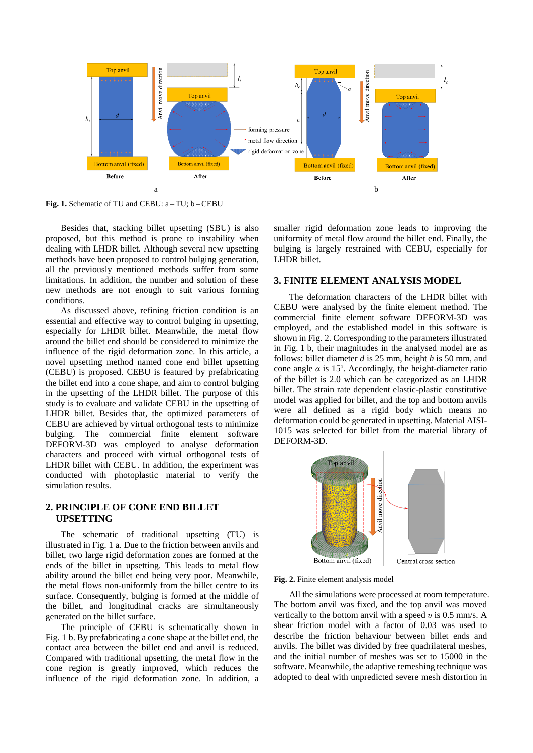

**Fig. 1.** Schematic of TU and CEBU: a – TU; b –CEBU

Besides that, stacking billet upsetting (SBU) is also proposed, but this method is prone to instability when dealing with LHDR billet. Although several new upsetting methods have been proposed to control bulging generation, all the previously mentioned methods suffer from some limitations. In addition, the number and solution of these new methods are not enough to suit various forming conditions.

As discussed above, refining friction condition is an essential and effective way to control bulging in upsetting, especially for LHDR billet. Meanwhile, the metal flow around the billet end should be considered to minimize the influence of the rigid deformation zone. In this article, a novel upsetting method named cone end billet upsetting (CEBU) is proposed. CEBU is featured by prefabricating the billet end into a cone shape, and aim to control bulging in the upsetting of the LHDR billet. The purpose of this study is to evaluate and validate CEBU in the upsetting of LHDR billet. Besides that, the optimized parameters of CEBU are achieved by virtual orthogonal tests to minimize bulging. The commercial finite element software DEFORM-3D was employed to analyse deformation characters and proceed with virtual orthogonal tests of LHDR billet with CEBU. In addition, the experiment was conducted with photoplastic material to verify the simulation results.

# **2. PRINCIPLE OF CONE END BILLET UPSETTING**

The schematic of traditional upsetting (TU) is illustrated in Fig. 1 a. Due to the friction between anvils and billet, two large rigid deformation zones are formed at the ends of the billet in upsetting. This leads to metal flow ability around the billet end being very poor. Meanwhile, the metal flows non-uniformly from the billet centre to its surface. Consequently, bulging is formed at the middle of the billet, and longitudinal cracks are simultaneously generated on the billet surface.

The principle of CEBU is schematically shown in Fig. 1 b. By prefabricating a cone shape at the billet end, the contact area between the billet end and anvil is reduced. Compared with traditional upsetting, the metal flow in the cone region is greatly improved, which reduces the influence of the rigid deformation zone. In addition, a smaller rigid deformation zone leads to improving the uniformity of metal flow around the billet end. Finally, the bulging is largely restrained with CEBU, especially for LHDR billet.

# **3. FINITE ELEMENT ANALYSIS MODEL**

The deformation characters of the LHDR billet with CEBU were analysed by the finite element method. The commercial finite element software DEFORM-3D was employed, and the established model in this software is shown in Fig. 2. Corresponding to the parameters illustrated in Fig. 1 b, their magnitudes in the analysed model are as follows: billet diameter *d* is 25 mm, height *h* is 50 mm, and cone angle  $\alpha$  is 15°. Accordingly, the height-diameter ratio of the billet is 2.0 which can be categorized as an LHDR billet. The strain rate dependent elastic-plastic constitutive model was applied for billet, and the top and bottom anvils were all defined as a rigid body which means no deformation could be generated in upsetting. Material AISI-1015 was selected for billet from the material library of DEFORM-3D.



**Fig. 2.** Finite element analysis model

All the simulations were processed at room temperature. The bottom anvil was fixed, and the top anvil was moved vertically to the bottom anvil with a speed *υ* is 0.5 mm/s. A shear friction model with a factor of 0.03 was used to describe the friction behaviour between billet ends and anvils. The billet was divided by free quadrilateral meshes, and the initial number of meshes was set to 15000 in the software. Meanwhile, the adaptive remeshing technique was adopted to deal with unpredicted severe mesh distortion in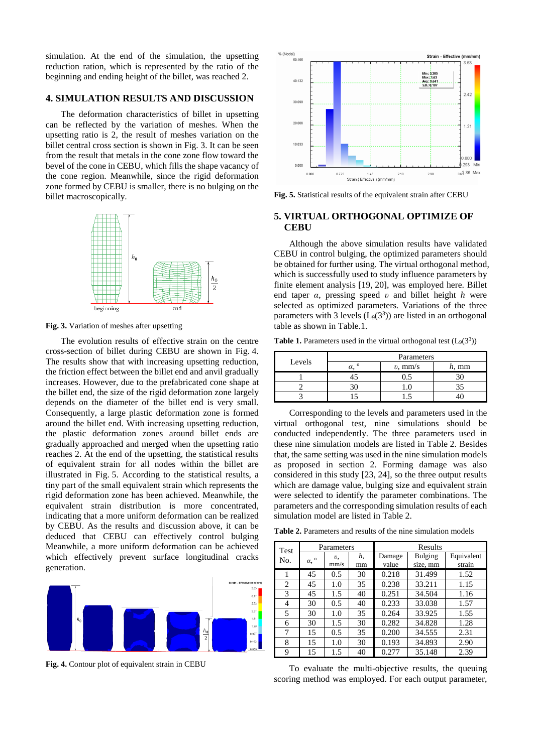simulation. At the end of the simulation, the upsetting reduction ration, which is represented by the ratio of the beginning and ending height of the billet, was reached 2.

#### **4. SIMULATION RESULTS AND DISCUSSION**

The deformation characteristics of billet in upsetting can be reflected by the variation of meshes. When the upsetting ratio is 2, the result of meshes variation on the billet central cross section is shown in Fig. 3. It can be seen from the result that metals in the cone zone flow toward the bevel of the cone in CEBU, which fills the shape vacancy of the cone region. Meanwhile, since the rigid deformation zone formed by CEBU is smaller, there is no bulging on the billet macroscopically.



**Fig. 3.** Variation of meshes after upsetting

The evolution results of effective strain on the centre cross-section of billet during CEBU are shown in Fig. 4. The results show that with increasing upsetting reduction, the friction effect between the billet end and anvil gradually increases. However, due to the prefabricated cone shape at the billet end, the size of the rigid deformation zone largely depends on the diameter of the billet end is very small. Consequently, a large plastic deformation zone is formed around the billet end. With increasing upsetting reduction, the plastic deformation zones around billet ends are gradually approached and merged when the upsetting ratio reaches 2. At the end of the upsetting, the statistical results of equivalent strain for all nodes within the billet are illustrated in Fig. 5. According to the statistical results, a tiny part of the small equivalent strain which represents the rigid deformation zone has been achieved. Meanwhile, the equivalent strain distribution is more concentrated, indicating that a more uniform deformation can be realized by CEBU. As the results and discussion above, it can be deduced that CEBU can effectively control bulging Meanwhile, a more uniform deformation can be achieved which effectively prevent surface longitudinal cracks generation.



**Fig. 4.** Contour plot of equivalent strain in CEBU



**Fig. 5.** Statistical results of the equivalent strain after CEBU

# **5. VIRTUAL ORTHOGONAL OPTIMIZE OF CEBU**

Although the above simulation results have validated CEBU in control bulging, the optimized parameters should be obtained for further using. The virtual orthogonal method, which is successfully used to study influence parameters by finite element analysis [19, 20], was employed here. Billet end taper *α*, pressing speed *υ* and billet height *h* were selected as optimized parameters. Variations of the three parameters with 3 levels  $(L_9(3^3))$  are listed in an orthogonal table as shown in Table.1.

**Table 1.** Parameters used in the virtual orthogonal test  $(L_9(3^3))$ 

| Levels | Parameters |            |    |  |
|--------|------------|------------|----|--|
|        |            | $v$ , mm/s | mm |  |
|        |            |            |    |  |
|        |            |            |    |  |
|        |            |            |    |  |

Corresponding to the levels and parameters used in the virtual orthogonal test, nine simulations should be conducted independently. The three parameters used in these nine simulation models are listed in Table 2. Besides that, the same setting was used in the nine simulation models as proposed in section 2. Forming damage was also considered in this study [23, 24], so the three output results which are damage value, bulging size and equivalent strain were selected to identify the parameter combinations. The parameters and the corresponding simulation results of each simulation model are listed in Table 2.

**Table 2.** Parameters and results of the nine simulation models

| Test | Parameters           |      | Results |        |                |            |
|------|----------------------|------|---------|--------|----------------|------------|
| No.  | $\alpha,$ $^{\rm o}$ | υ.   | h,      | Damage | <b>Bulging</b> | Equivalent |
|      |                      | mm/s | mm      | value  | size, mm       | strain     |
|      | 45                   | 0.5  | 30      | 0.218  | 31.499         | 1.52       |
| 2    | 45                   | 1.0  | 35      | 0.238  | 33.211         | 1.15       |
| 3    | 45                   | 1.5  | 40      | 0.251  | 34.504         | 1.16       |
| 4    | 30                   | 0.5  | 40      | 0.233  | 33.038         | 1.57       |
| 5    | 30                   | 1.0  | 35      | 0.264  | 33.925         | 1.55       |
| 6    | 30                   | 1.5  | 30      | 0.282  | 34.828         | 1.28       |
| 7    | 15                   | 0.5  | 35      | 0.200  | 34.555         | 2.31       |
| 8    | 15                   | 1.0  | 30      | 0.193  | 34.893         | 2.90       |
| 9    | 15                   | 1.5  | 40      | 0.277  | 35.148         | 2.39       |

To evaluate the multi-objective results, the queuing scoring method was employed. For each output parameter,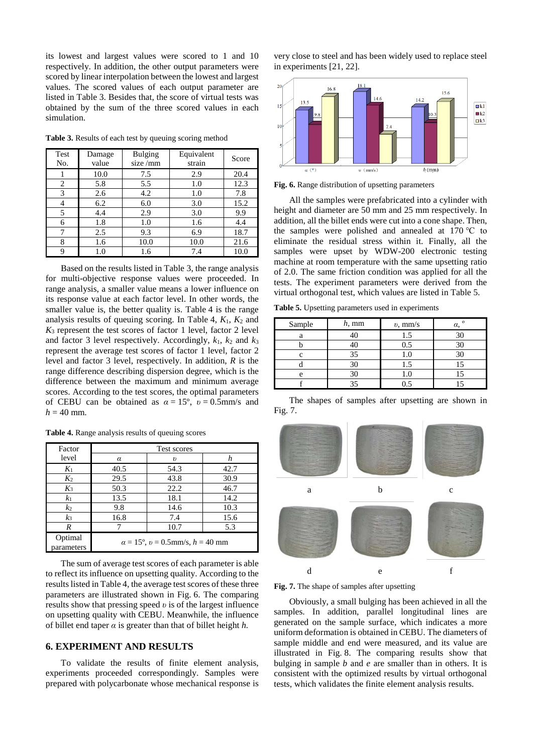its lowest and largest values were scored to 1 and 10 respectively. In addition, the other output parameters were scored by linear interpolation between the lowest and largest values. The scored values of each output parameter are listed in Table 3. Besides that, the score of virtual tests was obtained by the sum of the three scored values in each simulation.

**Table 3.** Results of each test by queuing scoring method

| Test<br>No. | Damage<br>value | <b>Bulging</b><br>size/mm | Equivalent<br>strain | Score |
|-------------|-----------------|---------------------------|----------------------|-------|
| I           | 10.0            | 7.5                       | 2.9                  | 20.4  |
| 2           | 5.8             | 5.5                       | 1.0                  | 12.3  |
| 3           | 2.6             | 4.2                       | 1.0                  | 7.8   |
| 4           | 6.2             | 6.0                       | 3.0                  | 15.2  |
| 5           | 4.4             | 2.9                       | 3.0                  | 9.9   |
| 6           | 1.8             | 1.0                       | 1.6                  | 4.4   |
| 7           | 2.5             | 9.3                       | 6.9                  | 18.7  |
| 8           | 1.6             | 10.0                      | 10.0                 | 21.6  |
| Q           | 1.0             | 1.6                       | 7.4                  | 10.0  |

Based on the results listed in Table 3, the range analysis for multi-objective response values were proceeded. In range analysis, a smaller value means a lower influence on its response value at each factor level. In other words, the smaller value is, the better quality is. Table 4 is the range analysis results of queuing scoring. In Table 4,  $K_1$ ,  $K_2$  and  $K_3$  represent the test scores of factor 1 level, factor 2 level and factor 3 level respectively. Accordingly,  $k_1$ ,  $k_2$  and  $k_3$ represent the average test scores of factor 1 level, factor 2 level and factor 3 level, respectively. In addition, *R* is the range difference describing dispersion degree, which is the difference between the maximum and minimum average scores. According to the test scores, the optimal parameters of CEBU can be obtained as  $\alpha = 15^{\circ}$ ,  $v = 0.5$ mm/s and  $h = 40$  mm.

| Table 4. Range analysis results of queuing scores |  |  |  |  |  |  |
|---------------------------------------------------|--|--|--|--|--|--|
|---------------------------------------------------|--|--|--|--|--|--|

Factor

| 1 avuu                | 1 000 000 1 00                                      |                     |      |  |
|-----------------------|-----------------------------------------------------|---------------------|------|--|
| level                 | α                                                   | $\boldsymbol{\eta}$ | h    |  |
| $K_1$                 | 40.5                                                | 54.3                | 42.7 |  |
| $K_2$                 | 29.5                                                | 43.8                | 30.9 |  |
| $K_3$                 | 50.3                                                | 22.2                | 46.7 |  |
| $k_{1}$               | 13.5                                                | 18.1                | 14.2 |  |
| k <sub>2</sub>        | 9.8                                                 | 14.6                | 10.3 |  |
| $k_3$                 | 16.8                                                | 7.4                 | 15.6 |  |
| R                     |                                                     | 10.7                | 5.3  |  |
| Optimal<br>parameters | $\alpha = 15^{\circ}$ , $v = 0.5$ mm/s, $h = 40$ mm |                     |      |  |

Test scores

The sum of average test scores of each parameter is able to reflect its influence on upsetting quality. According to the results listed in Table 4, the average test scores of these three parameters are illustrated shown in Fig. 6. The comparing results show that pressing speed *υ* is of the largest influence on upsetting quality with CEBU. Meanwhile, the influence of billet end taper *α* is greater than that of billet height *h.*

# **6. EXPERIMENT AND RESULTS**

To validate the results of finite element analysis, experiments proceeded correspondingly. Samples were prepared with polycarbonate whose mechanical response is very close to steel and has been widely used to replace steel in experiments [21, 22].



**Fig. 6.** Range distribution of upsetting parameters

All the samples were prefabricated into a cylinder with height and diameter are 50 mm and 25 mm respectively. In addition, all the billet ends were cut into a cone shape. Then, the samples were polished and annealed at 170 ℃ to eliminate the residual stress within it. Finally, all the samples were upset by WDW-200 electronic testing machine at room temperature with the same upsetting ratio of 2.0. The same friction condition was applied for all the tests. The experiment parameters were derived from the virtual orthogonal test, which values are listed in Table 5.

**Table 5.** Upsetting parameters used in experiments

| Sample          | $h, \text{mm}$ | $v$ , mm/s | $\circ$<br>α. |
|-----------------|----------------|------------|---------------|
| а               |                | 1.5        | 30            |
|                 |                |            | 30            |
|                 | 35             | I.U        | 30            |
|                 | 30             |            |               |
| $\mathbf{\rho}$ |                | 1.U        |               |
|                 |                |            |               |

The shapes of samples after upsetting are shown in Fig. 7.



**Fig. 7.** The shape of samples after upsetting

Obviously, a small bulging has been achieved in all the samples. In addition, parallel longitudinal lines are generated on the sample surface, which indicates a more uniform deformation is obtained in CEBU. The diameters of sample middle and end were measured, and its value are illustrated in Fig. 8. The comparing results show that bulging in sample *b* and *e* are smaller than in others. It is consistent with the optimized results by virtual orthogonal tests, which validates the finite element analysis results.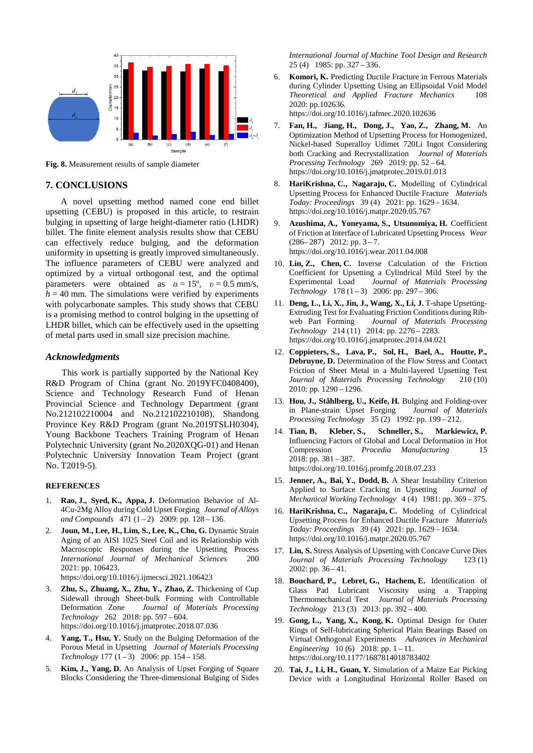

**Fig. 8.** Measurement results of sample diameter

#### **7. CONCLUSIONS**

A novel upsetting method named cone end billet upsetting (CEBU) is proposed in this article, to restrain bulging in upsetting of large height-diameter ratio (LHDR) billet. The finite element analysis results show that CEBU can effectively reduce bulging, and the deformation uniformity in upsetting is greatly improved simultaneously. The influence parameters of CEBU were analyzed and optimized by a virtual orthogonal test, and the optimal parameters were obtained as  $\alpha = 15^{\circ}$ ,  $v = 0.5$  mm/s,  $h = 40$  mm. The simulations were verified by experiments with polycarbonate samples. This study shows that CEBU is a promising method to control bulging in the upsetting of LHDR billet, which can be effectively used in the upsetting of metal parts used in small size precision machine.

#### *Acknowledgments*

This work is partially supported by the National Key R&D Program of China (grant No. 2019YFC0408400), Science and Technology Research Fund of Henan Provincial Science and Technology Department (grant No.212102210004 and No.212102210108), Shandong Province Key R&D Program (grant No.2019TSLH0304), Young Backbone Teachers Training Program of Henan Polytechnic University (grant No.2020XQG-01) and Henan Polytechnic University Innovation Team Project (grant No. T2019-5).

#### **REFERENCES**

- 1. **Rao, J., Syed, K., Appa, J.** Deformation Behavior of Al-4Cu-2Mg Alloy during Cold Upset Forging *Journal of Alloys*  and Compounds 471 (1-2) 2009: pp. 128-136.
- 2. **Joun, M., Lee, H., Lim, S., Lee, K., Cho, G.** Dynamic Strain Aging of an AISI 1025 Steel Coil and its Relationship with Macroscopic Responses during the Upsetting Process *International Journal of Mechanical Sciences* 200 2021: pp. 106423.
	- https://doi.org/10.1016/j.ijmecsci.2021.106423
- 3. **Zhu, S., Zhuang, X., Zhu, Y., Zhao, Z.** Thickening of Cup Sidewall through Sheet-bulk Forming with Controllable Deformation Zone *Journal of Materials Processing Technology* 262 2018: pp. 597 – 604. https://doi.org/10.1016/j.jmatprotec.2018.07.036
- 4. **Yang, T., Hsu, Y.** Study on the Bulging Deformation of the Porous Metal in Upsetting *Journal of Materials Processing Technology* 177 (1 – 3) 2006: pp. 154 – 158.
- 5. **Kim, J., Yang, D.** An Analysis of Upset Forging of Square Blocks Considering the Three-dimensional Bulging of Sides

*International Journal of Machine Tool Design and Research* 25 (4) 1985: pp. 327 – 336.

- 6. **Komori, K.** Predicting Ductile Fracture in Ferrous Materials during Cylinder Upsetting Using an Ellipsoidal Void Model *Theoretical and Applied Fracture Mechanics* 108 2020: pp.102636.
	- https://doi.org/10.1016/j.tafmec.2020.102636
- 7. **Fan, H., Jiang, H., Dong, J., Yao, Z., Zhang, M.** An Optimization Method of Upsetting Process for Homogenized, Nickel-based Superalloy Udimet 720Li Ingot Considering both Cracking and Recrystallization *Journal of Materials Processing Technology* 269 2019: pp. 52 – 64. https://doi.org/10.1016/j.jmatprotec.2019.01.013
- 8. **HariKrishna, C., Nagaraju, C.** Modelling of Cylindrical Upsetting Process for Enhanced Ductile Fracture *Materials Today: Proceedings* 39 (4) 2021: pp. 1629 – 1634. https://doi.org/10.1016/j.matpr.2020.05.767
- 9. **Azushima, A., Yoneyama, S., Utsunomiya, H.** Coefficient of Friction at Interface of Lubricated Upsetting Process *Wear*  $(286 - 287)$  2012: pp. 3 - 7. https://doi.org/10.1016/j.wear.2011.04.008
- 10. **Lin, Z., Chen, C.** Inverse Calculation of the Friction Coefficient for Upsetting a Cylindrical Mild Steel by the Experimental Load *Journal of Materials Processing Technology* 178 (1 – 3) 2006: pp. 297 – 306.
- 11. **Deng, L., Li, X., Jin, J., Wang, X., Li, J.** T-shape Upsetting-Extruding Test for Evaluating Friction Conditions during Rib-<br>web Part Forming Journal of Materials Processing Journal of Materials Processing *Technology* 214 (11) 2014: pp. 2276 – 2283. https://doi.org/10.1016/j.jmatprotec.2014.04.021
- 12. **Coppieters, S., Lava, P., Sol, H., Bael, A., Houtte, P., Debruyne, D.** Determination of the Flow Stress and Contact Friction of Sheet Metal in a Multi-layered Upsetting Test *Journal of Materials Processing Technology* 210 (10) 2010: pp. 1290 – 1296.
- 13. **Hou, J., Ståhlberg, U., Keife, H.** Bulging and Folding-over in Plane-strain Upset Forging *Journal of Materials Processing Technology* 35 (2) 1992: pp. 199 – 212.
- 14. **Tian, B, Kleber, S., Schneller, S., Markiewicz, P.** Influencing Factors of Global and Local Deformation in Hot Compression *Procedia Manufacturing* 15 2018: pp. 381 – 387. https://doi.org/10.1016/j.promfg.2018.07.233
- 15. **Jenner, A., Bai, Y., Dodd, B.** A Shear Instability Criterion Applied to Surface Cracking in Upsetting *Journal of Mechanical Working Technology* 4 (4) 1981: pp. 369 – 375.
- 16. **HariKrishna, C., Nagaraju, C.** Modeling of Cylindrical Upsetting Process for Enhanced Ductile Fracture *Materials Today: Proceedings* 39 (4) 2021: pp. 1629 – 1634. https://doi.org/10.1016/j.matpr.2020.05.767
- 17. **Lin, S.** Stress Analysis of Upsetting with Concave Curve Dies *Journal of Materials Processing Technology* 123 (1) 2002: pp. 36 – 41.
- 18. **Bouchard, P., Lebret, G., Hachem, E.** Identification of Glass Pad Lubricant Viscosity using a Trapping Thermomechanical Test *Journal of Materials Processing Technology* 213 (3) 2013: pp. 392 – 400.
- 19. **Gong, L., Yang, X., Kong, K.** Optimal Design for Outer Rings of Self-lubricating Spherical Plain Bearings Based on Virtual Orthogonal Experiments *Advances in Mechanical Engineering* 10 (6) 2018: pp. 1 – 11. https://doi.org/10.1177/1687814018783402
- 20. **Tai, J., Li, H., Guan, Y.** Simulation of a Maize Ear Picking Device with a Longitudinal Horizontal Roller Based on